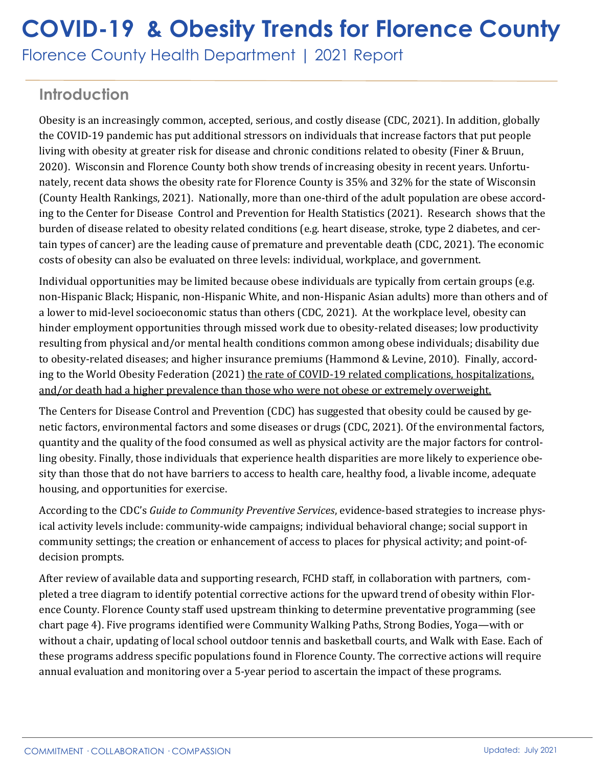## **COVID-19 & Obesity Trends for Florence County**

Florence County Health Department | 2021 Report

## **Introduction**

Obesity is an increasingly common, accepted, serious, and costly disease (CDC, 2021). In addition, globally the COVID-19 pandemic has put additional stressors on individuals that increase factors that put people living with obesity at greater risk for disease and chronic conditions related to obesity (Finer & Bruun, 2020). Wisconsin and Florence County both show trends of increasing obesity in recent years. Unfortunately, recent data shows the obesity rate for Florence County is 35% and 32% for the state of Wisconsin (County Health Rankings, 2021). Nationally, more than one-third of the adult population are obese according to the Center for Disease Control and Prevention for Health Statistics (2021). Research shows that the burden of disease related to obesity related conditions (e.g. heart disease, stroke, type 2 diabetes, and certain types of cancer) are the leading cause of premature and preventable death (CDC, 2021). The economic costs of obesity can also be evaluated on three levels: individual, workplace, and government.

Individual opportunities may be limited because obese individuals are typically from certain groups (e.g. non-Hispanic Black; Hispanic, non-Hispanic White, and non-Hispanic Asian adults) more than others and of a lower to mid-level socioeconomic status than others (CDC, 2021). At the workplace level, obesity can hinder employment opportunities through missed work due to obesity-related diseases; low productivity resulting from physical and/or mental health conditions common among obese individuals; disability due to obesity-related diseases; and higher insurance premiums (Hammond & Levine, 2010). Finally, according to the World Obesity Federation (2021) the rate of COVID-19 related complications, hospitalizations, and/or death had a higher prevalence than those who were not obese or extremely overweight.

The Centers for Disease Control and Prevention (CDC) has suggested that obesity could be caused by genetic factors, environmental factors and some diseases or drugs (CDC, 2021). Of the environmental factors, quantity and the quality of the food consumed as well as physical activity are the major factors for controlling obesity. Finally, those individuals that experience health disparities are more likely to experience obesity than those that do not have barriers to access to health care, healthy food, a livable income, adequate housing, and opportunities for exercise.

According to the CDC's *Guide to Community Preventive Services*, evidence-based strategies to increase physical activity levels include: community-wide campaigns; individual behavioral change; social support in community settings; the creation or enhancement of access to places for physical activity; and point-ofdecision prompts.

After review of available data and supporting research, FCHD staff, in collaboration with partners, completed a tree diagram to identify potential corrective actions for the upward trend of obesity within Florence County. Florence County staff used upstream thinking to determine preventative programming (see chart page 4). Five programs identified were Community Walking Paths, Strong Bodies, Yoga—with or without a chair, updating of local school outdoor tennis and basketball courts, and Walk with Ease. Each of these programs address specific populations found in Florence County. The corrective actions will require annual evaluation and monitoring over a 5-year period to ascertain the impact of these programs.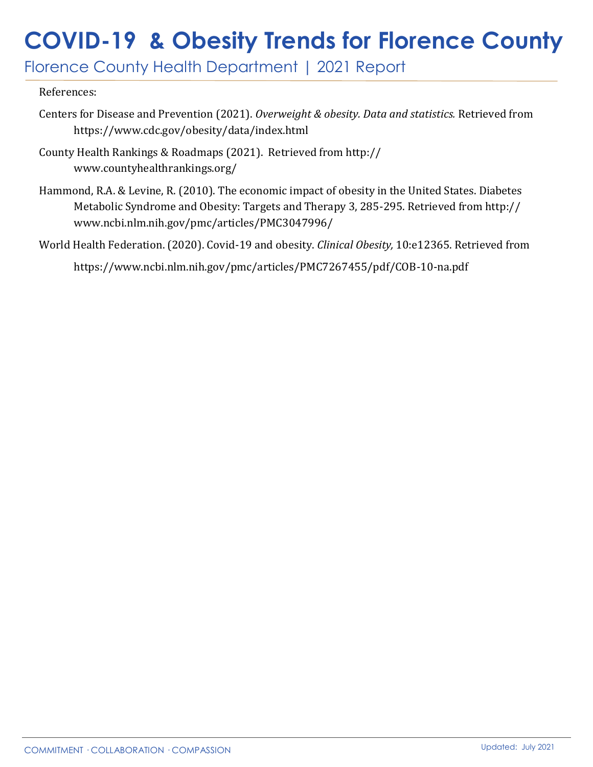# **COVID-19 & Obesity Trends for Florence County**

Florence County Health Department | 2021 Report

#### References:

- Centers for Disease and Prevention (2021). *Overweight & obesity. Data and statistics.* Retrieved from https://www.cdc.gov/obesity/data/index.html
- County Health Rankings & Roadmaps (2021). Retrieved from http:// www.countyhealthrankings.org/
- Hammond, R.A. & Levine, R. (2010). The economic impact of obesity in the United States. Diabetes Metabolic Syndrome and Obesity: Targets and Therapy 3, 285-295. Retrieved from http:// www.ncbi.nlm.nih.gov/pmc/articles/PMC3047996/
- World Health Federation. (2020). Covid-19 and obesity. *Clinical Obesity,* 10:e12365. Retrieved from https://www.ncbi.nlm.nih.gov/pmc/articles/PMC7267455/pdf/COB-10-na.pdf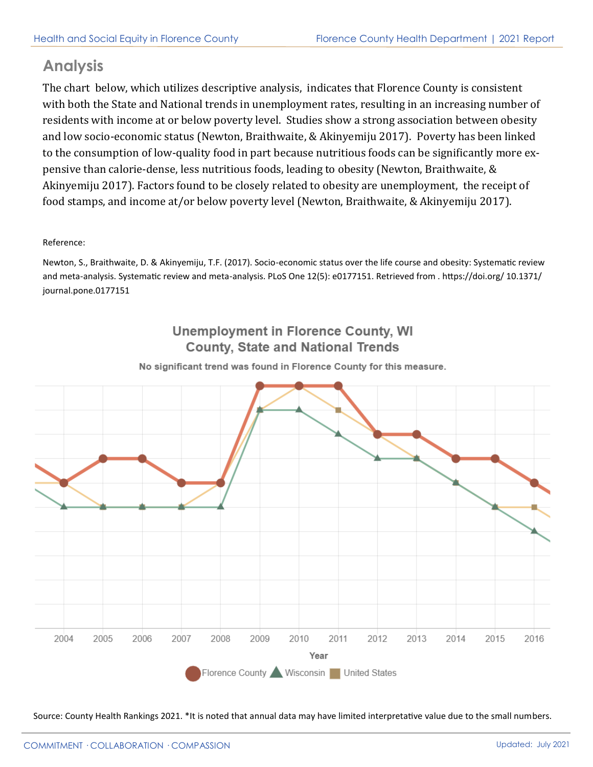#### **Analysis**

The chart below, which utilizes descriptive analysis, indicates that Florence County is consistent with both the State and National trends in unemployment rates, resulting in an increasing number of residents with income at or below poverty level. Studies show a strong association between obesity and low socio-economic status (Newton, Braithwaite, & Akinyemiju 2017). Poverty has been linked to the consumption of low-quality food in part because nutritious foods can be significantly more expensive than calorie-dense, less nutritious foods, leading to obesity (Newton, Braithwaite, & Akinyemiju 2017). Factors found to be closely related to obesity are unemployment, the receipt of food stamps, and income at/or below poverty level (Newton, Braithwaite, & Akinyemiju 2017).

#### Reference:

Newton, S., Braithwaite, D. & Akinyemiju, T.F. (2017). Socio-economic status over the life course and obesity: Systematic review and meta-analysis. Systematic review and meta-analysis. PLoS One 12(5): e0177151. Retrieved from . https://doi.org/ 10.1371/ journal.pone.0177151

#### **Unemployment in Florence County, WI County. State and National Trends**

2004 2005 2006 2007 2008 2009 2010 2011 2012 2013 2014 2015 2016 Year Florence County Wisconsin United States

No significant trend was found in Florence County for this measure.

Source: County Health Rankings 2021. \*It is noted that annual data may have limited interpretative value due to the small numbers.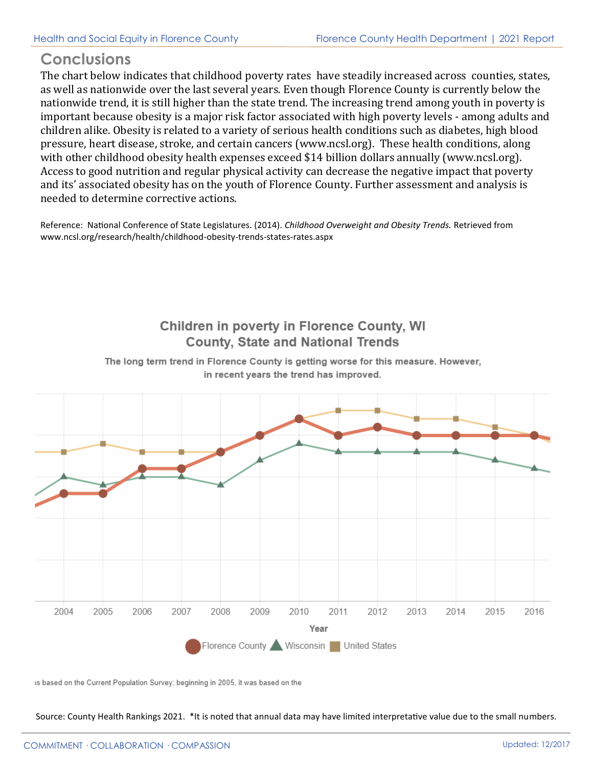### **Conclusions**

The chart below indicates that childhood poverty rates have steadily increased across counties, states, as well as nationwide over the last several years. Even though Florence County is currently below the nationwide trend, it is still higher than the state trend. The increasing trend among youth in poverty is important because obesity is a major risk factor associated with high poverty levels - among adults and children alike. Obesity is related to a variety of serious health conditions such as diabetes, high blood pressure, heart disease, stroke, and certain cancers (www.ncsl.org). These health conditions, along with other childhood obesity health expenses exceed \$14 billion dollars annually (www.ncsl.org). Access to good nutrition and regular physical activity can decrease the negative impact that poverty and its' associated obesity has on the youth of Florence County. Further assessment and analysis is needed to determine corrective actions.

Reference: National Conference of State Legislatures. (2014). *Childhood Overweight and Obesity Trends.* Retrieved from www.ncsl.org/research/health/childhood-obesity-trends-states-rates.aspx

### Children in poverty in Florence County, WI **County. State and National Trends**



The long term trend in Florence County is getting worse for this measure. However, in recent years the trend has improved.

is based on the Current Population Survey; beginning in 2005, it was based on the

Source: County Health Rankings 2021. \*It is noted that annual data may have limited interpretative value due to the small numbers.